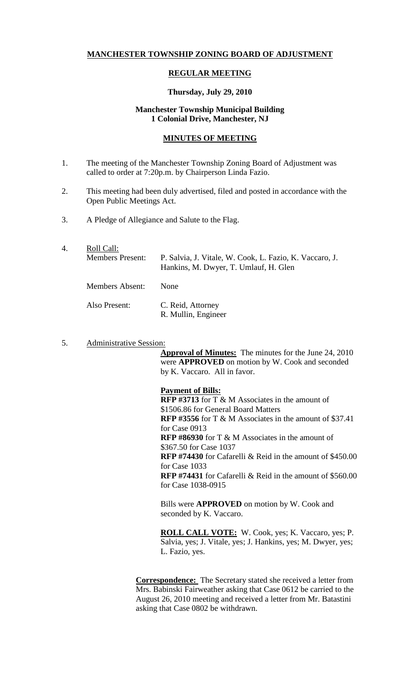# **MANCHESTER TOWNSHIP ZONING BOARD OF ADJUSTMENT**

## **REGULAR MEETING**

#### **Thursday, July 29, 2010**

## **Manchester Township Municipal Building 1 Colonial Drive, Manchester, NJ**

# **MINUTES OF MEETING**

- 1. The meeting of the Manchester Township Zoning Board of Adjustment was called to order at 7:20p.m. by Chairperson Linda Fazio.
- 2. This meeting had been duly advertised, filed and posted in accordance with the Open Public Meetings Act.
- 3. A Pledge of Allegiance and Salute to the Flag.
- 4. Roll Call: Members Present: P. Salvia, J. Vitale, W. Cook, L. Fazio, K. Vaccaro, J. Hankins, M. Dwyer, T. Umlauf, H. Glen Members Absent: None Also Present: C. Reid, Attorney R. Mullin, Engineer
- 5. Administrative Session:

**Approval of Minutes:** The minutes for the June 24, 2010 were **APPROVED** on motion by W. Cook and seconded by K. Vaccaro. All in favor.

## **Payment of Bills:**

**RFP #3713** for T & M Associates in the amount of \$1506.86 for General Board Matters **RFP #3556** for T & M Associates in the amount of \$37.41 for Case 0913 **RFP #86930** for T & M Associates in the amount of \$367.50 for Case 1037 **RFP #74430** for Cafarelli & Reid in the amount of \$450.00 for Case 1033 **RFP #74431** for Cafarelli & Reid in the amount of \$560.00 for Case 1038-0915

Bills were **APPROVED** on motion by W. Cook and seconded by K. Vaccaro.

**ROLL CALL VOTE:** W. Cook, yes; K. Vaccaro, yes; P. Salvia, yes; J. Vitale, yes; J. Hankins, yes; M. Dwyer, yes; L. Fazio, yes.

**Correspondence:** The Secretary stated she received a letter from Mrs. Babinski Fairweather asking that Case 0612 be carried to the August 26, 2010 meeting and received a letter from Mr. Batastini asking that Case 0802 be withdrawn.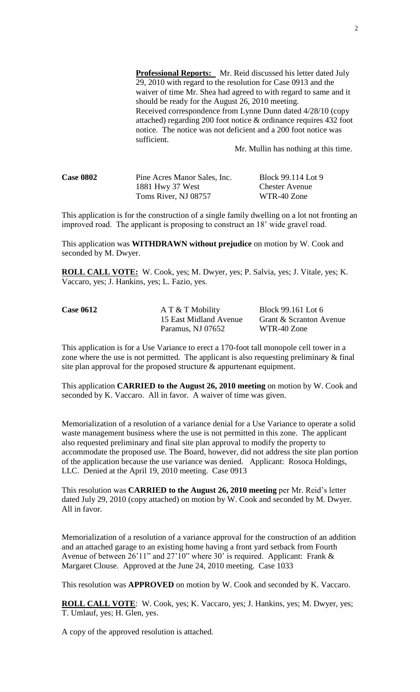**Professional Reports:** Mr. Reid discussed his letter dated July 29, 2010 with regard to the resolution for Case 0913 and the waiver of time Mr. Shea had agreed to with regard to same and it should be ready for the August 26, 2010 meeting. Received correspondence from Lynne Dunn dated 4/28/10 (copy attached) regarding 200 foot notice & ordinance requires 432 foot notice. The notice was not deficient and a 200 foot notice was sufficient.

Mr. Mullin has nothing at this time.

| <b>Case 0802</b> | Pine Acres Manor Sales, Inc. | Block 99.114 Lot 9    |
|------------------|------------------------------|-----------------------|
|                  | 1881 Hwy 37 West             | <b>Chester Avenue</b> |
|                  | Toms River, NJ 08757         | WTR-40 Zone           |

This application is for the construction of a single family dwelling on a lot not fronting an improved road. The applicant is proposing to construct an 18' wide gravel road.

This application was **WITHDRAWN without prejudice** on motion by W. Cook and seconded by M. Dwyer.

**ROLL CALL VOTE:** W. Cook, yes; M. Dwyer, yes; P. Salvia, yes; J. Vitale, yes; K. Vaccaro, yes; J. Hankins, yes; L. Fazio, yes.

| <b>Case 0612</b> | $A T & T$ Mobility     | Block 99.161 Lot 6      |
|------------------|------------------------|-------------------------|
|                  | 15 East Midland Avenue | Grant & Scranton Avenue |
|                  | Paramus, NJ 07652      | WTR-40 Zone             |

This application is for a Use Variance to erect a 170-foot tall monopole cell tower in a zone where the use is not permitted. The applicant is also requesting preliminary & final site plan approval for the proposed structure & appurtenant equipment.

This application **CARRIED to the August 26, 2010 meeting** on motion by W. Cook and seconded by K. Vaccaro. All in favor. A waiver of time was given.

Memorialization of a resolution of a variance denial for a Use Variance to operate a solid waste management business where the use is not permitted in this zone. The applicant also requested preliminary and final site plan approval to modify the property to accommodate the proposed use. The Board, however, did not address the site plan portion of the application because the use variance was denied. Applicant: Rosoca Holdings, LLC. Denied at the April 19, 2010 meeting. Case 0913

This resolution was **CARRIED to the August 26, 2010 meeting** per Mr. Reid's letter dated July 29, 2010 (copy attached) on motion by W. Cook and seconded by M. Dwyer. All in favor.

Memorialization of a resolution of a variance approval for the construction of an addition and an attached garage to an existing home having a front yard setback from Fourth Avenue of between 26'11" and 27'10" where 30' is required. Applicant: Frank & Margaret Clouse. Approved at the June 24, 2010 meeting. Case 1033

This resolution was **APPROVED** on motion by W. Cook and seconded by K. Vaccaro.

**ROLL CALL VOTE**: W. Cook, yes; K. Vaccaro, yes; J. Hankins, yes; M. Dwyer, yes; T. Umlauf, yes; H. Glen, yes.

A copy of the approved resolution is attached.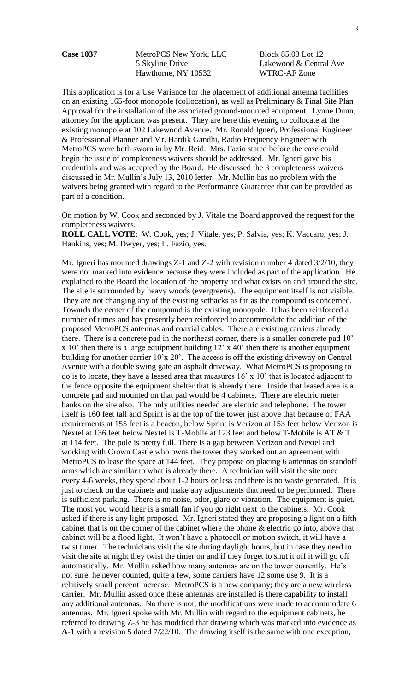Case 1037 MetroPCS New York, LLC Block 85.03 Lot 12 5 Skyline Drive Lakewood & Central Ave Hawthorne, NY 10532 WTRC-AF Zone

This application is for a Use Variance for the placement of additional antenna facilities on an existing 165-foot monopole (collocation), as well as Preliminary & Final Site Plan Approval for the installation of the associated ground-mounted equipment. Lynne Dunn, attorney for the applicant was present. They are here this evening to collocate at the existing monopole at 102 Lakewood Avenue. Mr. Ronald Igneri, Professional Engineer & Professional Planner and Mr. Hardik Gandhi, Radio Frequency Engineer with MetroPCS were both sworn in by Mr. Reid. Mrs. Fazio stated before the case could begin the issue of completeness waivers should be addressed. Mr. Igneri gave his credentials and was accepted by the Board. He discussed the 3 completeness waivers discussed in Mr. Mullin's July 13, 2010 letter. Mr. Mullin has no problem with the waivers being granted with regard to the Performance Guarantee that can be provided as part of a condition.

On motion by W. Cook and seconded by J. Vitale the Board approved the request for the completeness waivers.

**ROLL CALL VOTE**: W. Cook, yes; J. Vitale, yes; P. Salvia, yes; K. Vaccaro, yes; J. Hankins, yes; M. Dwyer, yes; L. Fazio, yes.

Mr. Igneri has mounted drawings Z-1 and Z-2 with revision number 4 dated 3/2/10, they were not marked into evidence because they were included as part of the application. He explained to the Board the location of the property and what exists on and around the site. The site is surrounded by heavy woods (evergreens). The equipment itself is not visible. They are not changing any of the existing setbacks as far as the compound is concerned. Towards the center of the compound is the existing monopole. It has been reinforced a number of times and has presently been reinforced to accommodate the addition of the proposed MetroPCS antennas and coaxial cables. There are existing carriers already there. There is a concrete pad in the northeast corner, there is a smaller concrete pad 10' x 10' then there is a large equipment building 12' x 40' then there is another equipment building for another carrier 10'x 20'. The access is off the existing driveway on Central Avenue with a double swing gate an asphalt driveway. What MetroPCS is proposing to do is to locate, they have a leased area that measures  $16' \times 10'$  that is located adjacent to the fence opposite the equipment shelter that is already there. Inside that leased area is a concrete pad and mounted on that pad would be 4 cabinets. There are electric meter banks on the site also. The only utilities needed are electric and telephone. The tower itself is 160 feet tall and Sprint is at the top of the tower just above that because of FAA requirements at 155 feet is a beacon, below Sprint is Verizon at 153 feet below Verizon is Nextel at 136 feet below Nextel is T-Mobile at 123 feet and below T-Mobile is AT & T at 114 feet. The pole is pretty full. There is a gap between Verizon and Nextel and working with Crown Castle who owns the tower they worked out an agreement with MetroPCS to lease the space at 144 feet. They propose on placing 6 antennas on standoff arms which are similar to what is already there. A technician will visit the site once every 4-6 weeks, they spend about 1-2 hours or less and there is no waste generated. It is just to check on the cabinets and make any adjustments that need to be performed. There is sufficient parking. There is no noise, odor, glare or vibration. The equipment is quiet. The most you would hear is a small fan if you go right next to the cabinets. Mr. Cook asked if there is any light proposed. Mr. Igneri stated they are proposing a light on a fifth cabinet that is on the corner of the cabinet where the phone & electric go into, above that cabinet will be a flood light. It won't have a photocell or motion switch, it will have a twist timer. The technicians visit the site during daylight hours, but in case they need to visit the site at night they twist the timer on and if they forget to shut it off it will go off automatically. Mr. Mullin asked how many antennas are on the tower currently. He's not sure, he never counted, quite a few, some carriers have 12 some use 9. It is a relatively small percent increase. MetroPCS is a new company; they are a new wireless carrier. Mr. Mullin asked once these antennas are installed is there capability to install any additional antennas. No there is not, the modifications were made to accommodate 6 antennas. Mr. Igneri spoke with Mr. Mullin with regard to the equipment cabinets, he referred to drawing Z-3 he has modified that drawing which was marked into evidence as **A-1** with a revision 5 dated 7/22/10. The drawing itself is the same with one exception,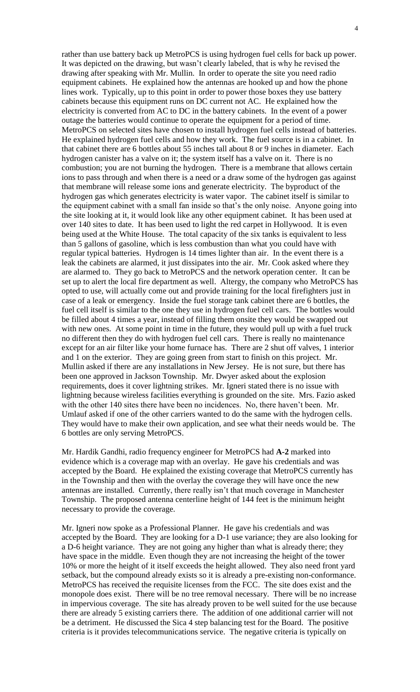rather than use battery back up MetroPCS is using hydrogen fuel cells for back up power. It was depicted on the drawing, but wasn't clearly labeled, that is why he revised the drawing after speaking with Mr. Mullin. In order to operate the site you need radio equipment cabinets. He explained how the antennas are hooked up and how the phone lines work. Typically, up to this point in order to power those boxes they use battery cabinets because this equipment runs on DC current not AC. He explained how the electricity is converted from AC to DC in the battery cabinets. In the event of a power outage the batteries would continue to operate the equipment for a period of time. MetroPCS on selected sites have chosen to install hydrogen fuel cells instead of batteries. He explained hydrogen fuel cells and how they work. The fuel source is in a cabinet. In that cabinet there are 6 bottles about 55 inches tall about 8 or 9 inches in diameter. Each hydrogen canister has a valve on it; the system itself has a valve on it. There is no combustion; you are not burning the hydrogen. There is a membrane that allows certain ions to pass through and when there is a need or a draw some of the hydrogen gas against that membrane will release some ions and generate electricity. The byproduct of the hydrogen gas which generates electricity is water vapor. The cabinet itself is similar to the equipment cabinet with a small fan inside so that's the only noise. Anyone going into the site looking at it, it would look like any other equipment cabinet. It has been used at over 140 sites to date. It has been used to light the red carpet in Hollywood. It is even being used at the White House. The total capacity of the six tanks is equivalent to less than 5 gallons of gasoline, which is less combustion than what you could have with regular typical batteries. Hydrogen is 14 times lighter than air. In the event there is a leak the cabinets are alarmed, it just dissipates into the air. Mr. Cook asked where they are alarmed to. They go back to MetroPCS and the network operation center. It can be set up to alert the local fire department as well. Altergy, the company who MetroPCS has opted to use, will actually come out and provide training for the local firefighters just in case of a leak or emergency. Inside the fuel storage tank cabinet there are 6 bottles, the fuel cell itself is similar to the one they use in hydrogen fuel cell cars. The bottles would be filled about 4 times a year, instead of filling them onsite they would be swapped out with new ones. At some point in time in the future, they would pull up with a fuel truck no different then they do with hydrogen fuel cell cars. There is really no maintenance except for an air filter like your home furnace has. There are 2 shut off valves, 1 interior and 1 on the exterior. They are going green from start to finish on this project. Mr. Mullin asked if there are any installations in New Jersey. He is not sure, but there has been one approved in Jackson Township. Mr. Dwyer asked about the explosion requirements, does it cover lightning strikes. Mr. Igneri stated there is no issue with lightning because wireless facilities everything is grounded on the site. Mrs. Fazio asked with the other 140 sites there have been no incidences. No, there haven't been. Mr. Umlauf asked if one of the other carriers wanted to do the same with the hydrogen cells. They would have to make their own application, and see what their needs would be. The 6 bottles are only serving MetroPCS.

Mr. Hardik Gandhi, radio frequency engineer for MetroPCS had **A-2** marked into evidence which is a coverage map with an overlay. He gave his credentials and was accepted by the Board. He explained the existing coverage that MetroPCS currently has in the Township and then with the overlay the coverage they will have once the new antennas are installed. Currently, there really isn't that much coverage in Manchester Township. The proposed antenna centerline height of 144 feet is the minimum height necessary to provide the coverage.

Mr. Igneri now spoke as a Professional Planner. He gave his credentials and was accepted by the Board. They are looking for a D-1 use variance; they are also looking for a D-6 height variance. They are not going any higher than what is already there; they have space in the middle. Even though they are not increasing the height of the tower 10% or more the height of it itself exceeds the height allowed. They also need front yard setback, but the compound already exists so it is already a pre-existing non-conformance. MetroPCS has received the requisite licenses from the FCC. The site does exist and the monopole does exist. There will be no tree removal necessary. There will be no increase in impervious coverage. The site has already proven to be well suited for the use because there are already 5 existing carriers there. The addition of one additional carrier will not be a detriment. He discussed the Sica 4 step balancing test for the Board. The positive criteria is it provides telecommunications service. The negative criteria is typically on